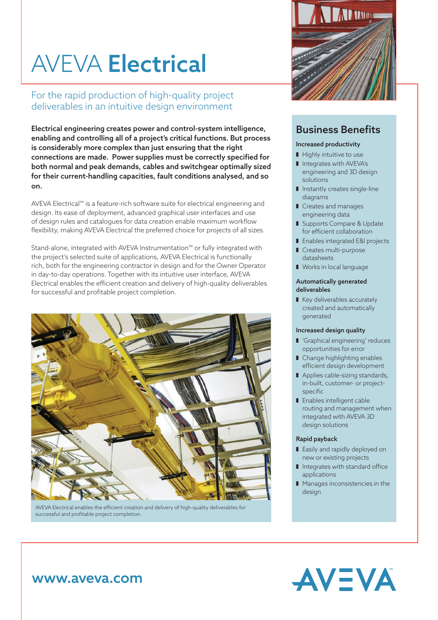# AVEVA Electrical

For the rapid production of high-quality project deliverables in an intuitive design environment

Electrical engineering creates power and control-system intelligence, enabling and controlling all of a project's critical functions. But process is considerably more complex than just ensuring that the right connections are made. Power supplies must be correctly specified for both normal and peak demands, cables and switchgear optimally sized for their current-handling capacities, fault conditions analysed, and so on.

AVEVA Electrical™ is a feature-rich software suite for electrical engineering and design. Its ease of deployment, advanced graphical user interfaces and use of design rules and catalogues for data creation enable maximum workflow flexibility, making AVEVA Electrical the preferred choice for projects of all sizes.

Stand-alone, integrated with AVEVA Instrumentation™ or fully integrated with the project's selected suite of applications, AVEVA Electrical is functionally rich, both for the engineering contractor in design and for the Owner Operator in day-to-day operations. Together with its intuitive user interface, AVEVA Electrical enables the efficient creation and delivery of high-quality deliverables for successful and profitable project completion.



AVEVA Electrical enables the efficient creation and delivery of high-quality deliverables for successful and profitable project completion.



### Business Benefits

#### Increased productivity

- $\blacksquare$  Highly intuitive to use
- I Integrates with AVEVA's engineering and 3D design solutions
- $\blacksquare$  Instantly creates single-line diagrams
- **Creates and manages** engineering data
- Supports Compare & Update for efficient collaboration
- **E** Enables integrated E&I projects
- Creates multi-purpose datasheets
- **Norks in local language**

#### Automatically generated deliverables

Key deliverables accurately created and automatically generated

#### Increased design quality

- **I** 'Graphical engineering' reduces opportunities for error
- I Change highlighting enables efficient design development
- Applies cable-sizing standards, in-built, customer- or projectspecific
- **Enables intelligent cable** routing and management when integrated with AVEVA 3D design solutions

#### Rapid payback

- Easily and rapidly deployed on new or existing projects
- $\blacksquare$  Integrates with standard office applications
- $\blacksquare$  Manages inconsistencies in the design



## www.aveva.com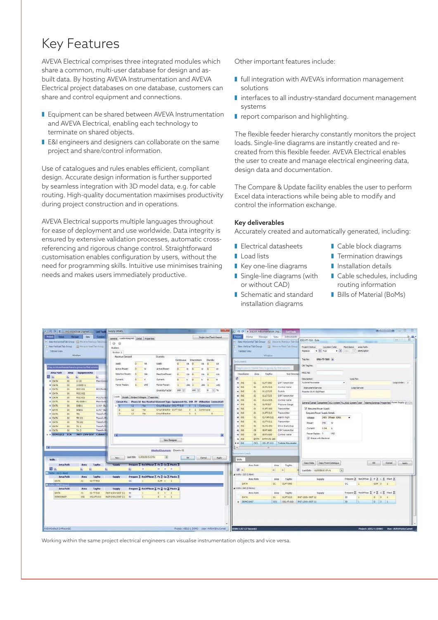## Key Features

AVEVA Electrical comprises three integrated modules which share a common, multi-user database for design and asbuilt data. By hosting AVEVA Instrumentation and AVEVA Electrical project databases on one database, customers can share and control equipment and connections.

- **E** Equipment can be shared between AVEVA Instrumentation and AVEVA Electrical, enabling each technology to terminate on shared objects.
- E&I engineers and designers can collaborate on the same project and share/control information.

Use of catalogues and rules enables efficient, compliant design. Accurate design information is further supported by seamless integration with 3D model data, e.g. for cable routing. High-quality documentation maximises productivity during project construction and in operations.

AVEVA Electrical supports multiple languages throughout for ease of deployment and use worldwide. Data integrity is ensured by extensive validation processes, automatic crossreferencing and rigorous change control. Straightforward customisation enables configuration by users, without the need for programming skills. Intuitive use minimises training needs and makes users immediately productive.

Other important features include:

- **I** full integration with AVEVA's information management solutions
- $\blacksquare$  interfaces to all industry-standard document management systems
- $\blacksquare$  report comparison and highlighting.

The flexible feeder hierarchy constantly monitors the project loads. Single-line diagrams are instantly created and recreated from this flexible feeder. AVEVA Electrical enables the user to create and manage electrical engineering data, design data and documentation.

The Compare & Update facility enables the user to perform Excel data interactions while being able to modify and control the information exchange.

#### Key deliverables

Accurately created and automatically generated, including:

- $\blacksquare$  Electrical datasheets
- Load lists
- Key one-line diagrams **Single-line diagrams (with**
- or without CAD)
- Schematic and standard installation diagrams
- Cable block diagrams
- **I** Termination drawings
- $\blacksquare$  Installation details
- **Cable schedules, including** routing information
- Bills of Material (BoMs)

| All in the F AVEVA Deciseal Engineer                               | $-2-$<br>List Tools Supply Details                                                         | (A) : 0 (N) = AVEVA Instrumentation Engi-<br><b>List Tools</b> | <b>ACCES OF S</b>                                                                                          |
|--------------------------------------------------------------------|--------------------------------------------------------------------------------------------|----------------------------------------------------------------|------------------------------------------------------------------------------------------------------------|
| <b>Traject</b><br>Manage<br><b>Home</b><br><b>View</b><br>Supplies | Single Line Check Report<br>General Loads Assgred Detail Properties                        | Home Manage View<br>Project<br>Instruments                     | $\alpha$ $\alpha$                                                                                          |
| - New Horizontal Tab Group - I Move to Pravidus Tab Grou           | 00                                                                                         | New Horizontal Tab Group [1] Move to Previous Tab Gr           | $^{22}$<br>$\Box$<br>OS1-FT-510 - Edit<br><b>Street Commercial</b><br><b><i>Changer Call</i></b>           |
| New Vertical Tab Group B Move to Next Tab Group                    | <b>Budters</b>                                                                             | New Vertical Tab Group H Move to Next Tab Group                | Project Status:<br>Location Code:<br>Plont Area: Area Path:                                                |
| Tabbed View                                                        |                                                                                            | Tabbed Wew                                                     | $+ 10$<br>Replace:                                                                                         |
| Window                                                             | Busbar 1<br>Maximum Demand<br>Diversity                                                    | Window                                                         |                                                                                                            |
|                                                                    | Continuous<br>Intermittent<br>Standby                                                      |                                                                | 051-FT-510<br>Tag No:                                                                                      |
|                                                                    | Loads<br>$\Omega$<br>VA<br>Load:<br>VA:<br>VA:<br>VA<br>$\alpha$                           | Churrents.                                                     |                                                                                                            |
| trag a column header here to group by that colum                   | Active Power:<br>$\Omega$<br>W<br>Active Power:<br>W<br>W<br>w<br>$\overline{a}$           | Trag a column header him to gong by that column.               | Old Tag No:                                                                                                |
| <b>Area Path</b><br>Area<br>EquipmentNo                            |                                                                                            | ClassName                                                      | MOC No:                                                                                                    |
| 靏<br>仫<br>W<br>做<br>払                                              | Reactive Power:<br>VA/<br>Reactive Power:<br>Vär<br>VAr.<br><b>VM</b>                      | Inst Descrip<br>TogNo<br>Area:                                 |                                                                                                            |
| <b>P DATA</b><br>00<br>G:101<br>Main Gen                           | Current:<br>Current:<br>A                                                                  |                                                                | Loop No:<br>Description:                                                                                   |
| <b>W DATA</b><br>00<br>LVSW8-1                                     | U/a<br>Power Factor:<br>Power Factor:<br>LAG<br>1.40<br>LWG                                | D.P Transmitter<br>se tres<br>01<br>01-FT-900                  | <b>Turbine Plowmeter</b><br>Loop Order: 2                                                                  |
| <b>P DATA</b><br>00<br>MCC-001<br>MCC for B                        | $100 -$<br>100<br>$\infty$<br>图解<br>Diversity Factor:                                      | 01<br>01.8V-510<br>Control Valve<br>$Q$ $BIS$                  | <b>Instrument Service</b><br>Loop Service                                                                  |
| <b>DATA</b><br>DO:<br>MCC-002                                      |                                                                                            | 01<br>01:45.525<br>$-2$ $Bd$<br>Saitch:                        | Reactor 01R-510 Feed                                                                                       |
| <b>W DATA</b><br>50<br>MCC-003<br>MCC for B                        | Loads Details Output Voltages Properties                                                   | $a$ in $5$<br>01<br>01-LT-525<br><b>D.P.Transmitter</b>        |                                                                                                            |
| <b>ATAC</b><br>60<br>MV-SWB-1<br>Main Sait                         | Circuit No. Phase Id Has Neutral Element Type Equipment No. kVA PF Utilisation Connected I | 01<br>Control Valve<br>44.1915<br>01-EV-525                    | General Detail Datasheet DCS System PLC/ESD System User Alarms/Settings Properties Power Supply (z i i i i |
| <b>DATA</b><br>00<br>$SMB-1$<br>11 kv - Ba                         | $\frac{1}{2}$<br>EE.<br>Circuit Breaker 051-FT-515<br>0 1 Continuous<br>$Y_{C2}$           | $44 - 1745$<br>01<br>01-11-527<br><b>Freisure Gauge</b>        |                                                                                                            |
| <b>H DATA</b><br>80 <sub>1</sub><br>$SWD-2$<br>$11kV - B$          | 0 1 Continuous<br>12.<br>L2<br>Yea<br>Circuit Breaker 01-FT-510                            | $a$ ins<br>01<br>01-PT-500<br>Transmitter                      | V: Required Power Supply                                                                                   |
| <b>FADATA</b><br>00<br>TRI-<br>Transfo P                           | L1<br><b>Circuit Breaker</b><br>$0$ 1<br>$\overline{\mathbf{3}}$<br>Yes<br>$\alpha$        | ot<br>$Q$ $R$<br>01-PT-510<br>Transmitter                      | Requires Power Supply Details                                                                              |
| <b>DATA</b><br>50<br>TR-101<br>Transfo <sup>1</sup>                |                                                                                            | 01<br>9.16<br>01-TAN-511<br>Alarm High                         | 240V 1Phase 50Hz<br>Voltage:<br>$\cdot$                                                                    |
| P DATA<br>86<br>TR-102<br>Transfo <sup>p</sup>                     |                                                                                            | $\boldsymbol{\omega}$ INS<br>01<br>01-TT-551<br>Transmitter    | 250 W<br>Power:                                                                                            |
| <b>DATA</b><br>00<br>$Tx = 1$<br>Transfo <sup>1</sup>              |                                                                                            | 44 1995<br>$Q_{\perp}$<br>01-X5-002<br>Drive Start/stop        |                                                                                                            |
| <b>U DATA</b><br>00<br>$TC-2$<br>Transfo i                         |                                                                                            | $42 - 1745$<br>雄<br>DS-FT-600<br>D/P Transmitter               | 1.04 A<br>Current:                                                                                         |
| + DEMOVELE ECA<br>INST-210V-DIST Cabinet                           |                                                                                            | $-20$ $Bd$<br>tn.<br>CO-FV-400<br>Control Valve                | LAG<br>Power Factor: 1                                                                                     |
|                                                                    | View Designer                                                                              | DATA-AE-100<br><b>DATA</b><br>● 100                            | P Share with Electrical                                                                                    |
|                                                                    |                                                                                            | a as<br>OS1 051-FT-510<br>Turbine Flowmeter                    |                                                                                                            |
| ЮE                                                                 |                                                                                            | w                                                              |                                                                                                            |
|                                                                    | Attached Documents (Count=0)                                                               |                                                                |                                                                                                            |
|                                                                    |                                                                                            | strument Loads                                                 |                                                                                                            |
| <b>Volts</b>                                                       | $\Theta$<br>Last Edit: 11/03/2015 17:51<br><b>CK</b><br>Cancel<br>New<br>Apply             | Volts /                                                        |                                                                                                            |
| <b>Area Path</b><br>TagNo<br>Area                                  | Frequen ∑ NoOfFhase ∑ Po ∑ Cu ∑ Placto ∑                                                   |                                                                | Copy Data Copy From Catalogue<br>OC<br>Cancel:<br>Apply                                                    |
| 國国<br>(A)<br>Ш.<br>к                                               | 払<br>$\begin{array}{ccccccccccccc} \cdots & \cdots & \cdots & \cdots & \cdots \end{array}$ | Area Path<br>Area.<br>TagNo                                    |                                                                                                            |
| - Volts : 110 (1 item)                                             |                                                                                            | 团叫<br>K<br>却                                                   | $\Box$<br>Last Edit: 11/03/2015 17:41                                                                      |
| <b>Area Path</b><br>TagNo<br>Area                                  | Frequen ∑ NoOfPhase ∑ Po ∑ Cu ∑ Pfacto ∑<br>Supply                                         | Volts : 110 (1 item)                                           |                                                                                                            |
| <b>DATA</b><br>01-FT-900<br>81                                     | DC.<br>$0.04 - 0 = 1$<br>$\pm$                                                             | Area Path<br>Area:<br>TagNo                                    | Frequen ∑ NoOfFhas ∑ P ∑ C ∑ Pfact ∑<br>Supply.                                                            |
| D.Volbs : 245 (2 ibnes                                             |                                                                                            | DATA<br>01-FT-900<br>CI.                                       | DC.<br>ïт.<br>0.04 0 1                                                                                     |
| <b>Area Path</b><br>TagNo<br>Area                                  | Frequen ∑ NoOfPhase ∑ Po ∑ Cu ∑ Pfacto ∑<br>Supply                                         | A Volts : 240 (2 items)                                        |                                                                                                            |
| DATA<br>01-FT-510<br>Q1                                            | INST-232V-DIST (1)<br>$-50$<br>$Q$ $Q$                                                     | Area Path<br>Area<br>TagNo                                     | Frequen $\Sigma$ NoOfFhas $\Sigma$ P $\Sigma$ C $\Sigma$ Pfact $\Sigma$<br><b>Sapply</b>                   |
| <b>DEMOUNST</b><br>051<br>051-FT-510                               | 0: 0: 1<br>INST-230V-DIST (1) 50<br>$\mathbf{1}$                                           | DATA<br>01<br>01-FT-510                                        | 0 0 1<br>INST-230V-DIST (1)<br>50<br>$\mathbf{1}$                                                          |
|                                                                    |                                                                                            | DEMOUNST<br>$\circ$ ss<br>051-FT-510                           | 0 0 1<br>INST-230V-0157-(2)<br>50<br>$11 -$                                                                |
|                                                                    |                                                                                            |                                                                |                                                                                                            |
|                                                                    |                                                                                            |                                                                |                                                                                                            |
|                                                                    |                                                                                            |                                                                |                                                                                                            |
|                                                                    |                                                                                            |                                                                |                                                                                                            |
|                                                                    |                                                                                            |                                                                |                                                                                                            |
|                                                                    |                                                                                            |                                                                |                                                                                                            |
| AVEVAD efault (14 Records)                                         | Project (AIE12-1_OEMO User: AVEVA)Eric Carnet                                              | DEMO LIST (27 Records)                                         | Project : AIE12-1 DEMO User : AVEVA\Eric/Carnet                                                            |

Working within the same project electrical engineers can visualise instrumentation objects and vice versa.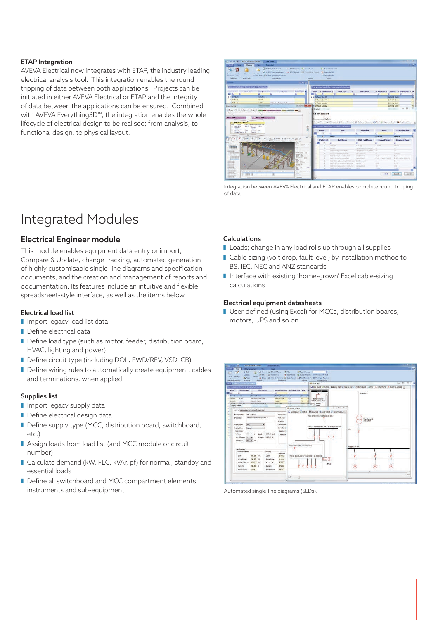#### ETAP Integration

AVEVA Electrical now integrates with ETAP, the industry leading electrical analysis tool. This integration enables the roundtripping of data between both applications. Projects can be initiated in either AVEVA Electrical or ETAP and the integrity of data between the applications can be ensured. Combined with AVEVA Everything3D™, the integration enables the whole lifecycle of electrical design to be realised; from analysis, to functional design, to physical layout.



Integration between AVEVA Electrical and ETAP enables complete round tripping of data.

## Integrated Modules

#### Electrical Engineer module

This module enables equipment data entry or import, Compare & Update, change tracking, automated generation of highly customisable single-line diagrams and specification documents, and the creation and management of reports and documentation. Its features include an intuitive and flexible spreadsheet-style interface, as well as the items below.

#### Electrical load list

- I Import legacy load list data
- $\blacksquare$  Define electrical data
- Define load type (such as motor, feeder, distribution board, HVAC, lighting and power)
- Define circuit type (including DOL, FWD/REV, VSD, CB)
- Define wiring rules to automatically create equipment, cables and terminations, when applied

#### Supplies list

- I Import legacy supply data
- Define electrical design data
- Define supply type (MCC, distribution board, switchboard, etc.)
- Assign loads from load list (and MCC module or circuit number)
- Calculate demand (kW, FLC, kVAr, pf) for normal, standby and essential loads
- Define all switchboard and MCC compartment elements, instruments and sub-equipment

#### Calculations

- Loads; change in any load rolls up through all supplies
- I Cable sizing (volt drop, fault level) by installation method to BS, IEC, NEC and ANZ standards
- I Interface with existing 'home-grown' Excel cable-sizing calculations

#### Electrical equipment datasheets

User-defined (using Excel) for MCCs, distribution boards, motors, UPS and so on



Automated single-line diagrams (SLDs).